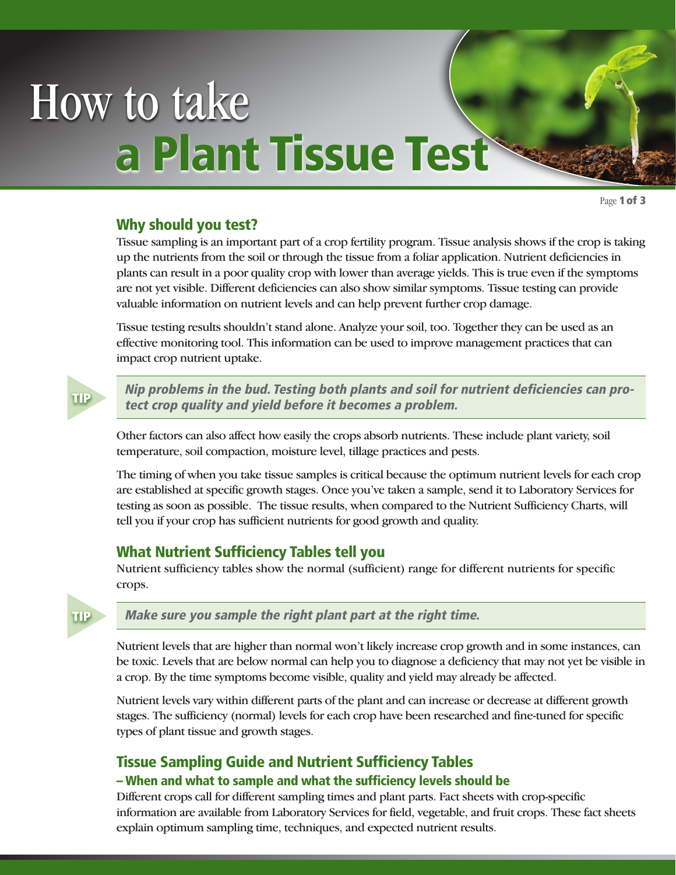# How to take a Plant Tissue Test

Page 1 of 3

# Why should you test?

Tissue sampling is an important part of a crop fertility program. Tissue analysis shows if the crop is taking up the nutrients from the soil or through the tissue from a foliar application. Nutrient deficiencies in plants can result in a poor quality crop with lower than average yields. This is true even if the symptoms are not yet visible. Different deficiencies can also show similar symptoms. Tissue testing can provide valuable information on nutrient levels and can help prevent further crop damage.

Tissue testing results shouldn't stand alone. Analyze your soil, too. Together they can be used as an effective monitoring tool. This information can be used to improve management practices that can impact crop nutrient uptake.



Nip problems in the bud. Testing both plants and soil for nutrient deficiencies can protect crop quality and yield before it becomes a problem.

Other factors can also affect how easily the crops absorb nutrients. These include plant variety, soil temperature, soil compaction, moisture level, tillage practices and pests.

The timing of when you take tissue samples is critical because the optimum nutrient levels for each crop are established at specific growth stages. Once you've taken a sample, send it to Laboratory Services for testing as soon as possible. The tissue results, when compared to the Nutrient Sufficiency Charts, will tell you if your crop has sufficient nutrients for good growth and quality.

## What Nutrient Sufficiency Tables tell you

Nutrient sufficiency tables show the normal (sufficient) range for different nutrients for specific crops.



## Make sure you sample the right plant part at the right time.

Nutrient levels that are higher than normal won't likely increase crop growth and in some instances, can be toxic. Levels that are below normal can help you to diagnose a deficiency that may not yet be visible in a crop. By the time symptoms become visible, quality and yield may already be affected.

Nutrient levels vary within different parts of the plant and can increase or decrease at different growth stages. The sufficiency (normal) levels for each crop have been researched and fine-tuned for specific types of plant tissue and growth stages.

# Tissue Sampling Guide and Nutrient Sufficiency Tables

## – When and what to sample and what the sufficiency levels should be

Different crops call for different sampling times and plant parts. Fact sheets with crop-specific information are available from Laboratory Services for field, vegetable, and fruit crops. These fact sheets explain optimum sampling time, techniques, and expected nutrient results.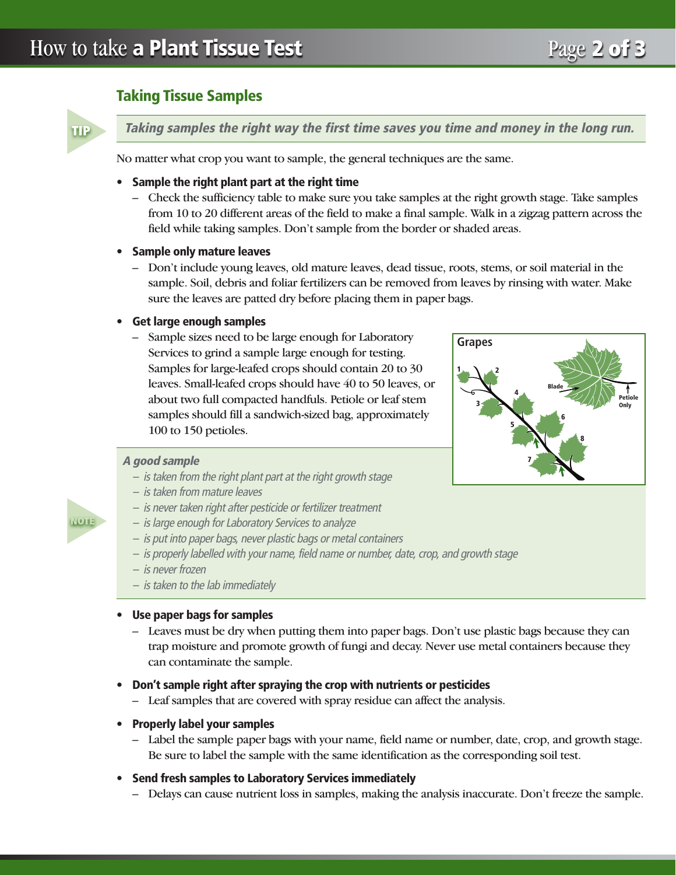# Taking Tissue Samples

TIP

Taking samples the right way the first time saves you time and money in the long run.

No matter what crop you want to sample, the general techniques are the same.

#### • Sample the right plant part at the right time

– Check the sufficiency table to make sure you take samples at the right growth stage. Take samples from 10 to 20 different areas of the field to make a final sample. Walk in a zigzag pattern across the field while taking samples. Don't sample from the border or shaded areas.

#### • Sample only mature leaves

– Don't include young leaves, old mature leaves, dead tissue, roots, stems, or soil material in the sample. Soil, debris and foliar fertilizers can be removed from leaves by rinsing with water. Make sure the leaves are patted dry before placing them in paper bags.

#### • Get large enough samples

– Sample sizes need to be large enough for Laboratory Services to grind a sample large enough for testing. Samples for large-leafed crops should contain 20 to 30 leaves. Small-leafed crops should have 40 to 50 leaves, or about two full compacted handfuls. Petiole or leaf stem samples should fill a sandwich-sized bag, approximately 100 to 150 petioles.



#### A good sample

- is taken from the right plant part at the right growth stage
- is taken from mature leaves
- is never taken right after pesticide or fertilizer treatment
- is large enough for Laboratory Services to analyze
- is put into paper bags, never plastic bags or metal containers
- is properly labelled with your name, field name or number, date, crop, and growth stage
- is never frozen
- is taken to the lab immediately

#### • Use paper bags for samples

– Leaves must be dry when putting them into paper bags. Don't use plastic bags because they can trap moisture and promote growth of fungi and decay. Never use metal containers because they can contaminate the sample.

#### • Don't sample right after spraying the crop with nutrients or pesticides

- Leaf samples that are covered with spray residue can affect the analysis.
- Properly label your samples
	- Label the sample paper bags with your name, field name or number, date, crop, and growth stage. Be sure to label the sample with the same identification as the corresponding soil test.

#### • Send fresh samples to Laboratory Services immediately

– Delays can cause nutrient loss in samples, making the analysis inaccurate. Don't freeze the sample.